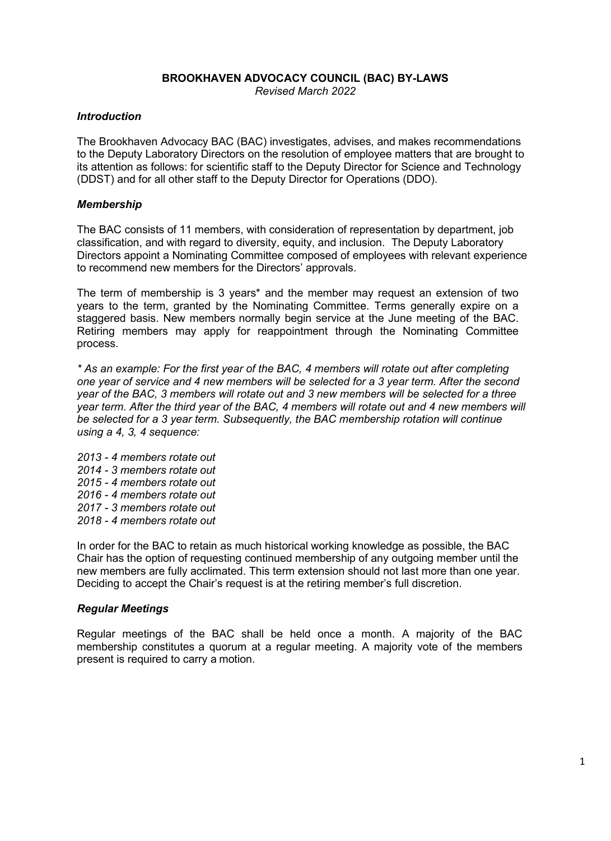## **BROOKHAVEN ADVOCACY COUNCIL (BAC) BY-LAWS** *Revised March 2022*

## *Introduction*

The Brookhaven Advocacy BAC (BAC) investigates, advises, and makes recommendations to the Deputy Laboratory Directors on the resolution of employee matters that are brought to its attention as follows: for scientific staff to the Deputy Director for Science and Technology (DDST) and for all other staff to the Deputy Director for Operations (DDO).

#### *Membership*

The BAC consists of 11 members, with consideration of representation by department, job classification, and with regard to diversity, equity, and inclusion. The Deputy Laboratory Directors appoint a Nominating Committee composed of employees with relevant experience to recommend new members for the Directors' approvals.

The term of membership is 3 years\* and the member may request an extension of two years to the term, granted by the Nominating Committee. Terms generally expire on a staggered basis. New members normally begin service at the June meeting of the BAC. Retiring members may apply for reappointment through the Nominating Committee process.

*\* As an example: For the first year of the BAC, 4 members will rotate out after completing one year of service and 4 new members will be selected for a 3 year term. After the second year of the BAC, 3 members will rotate out and 3 new members will be selected for a three year term. After the third year of the BAC, 4 members will rotate out and 4 new members will be selected for a 3 year term. Subsequently, the BAC membership rotation will continue using a 4, 3, 4 sequence:*

*2013 - 4 members rotate out 2014 - 3 members rotate out 2015 - 4 members rotate out 2016 - 4 members rotate out 2017 - 3 members rotate out 2018 - 4 members rotate out*

In order for the BAC to retain as much historical working knowledge as possible, the BAC Chair has the option of requesting continued membership of any outgoing member until the new members are fully acclimated. This term extension should not last more than one year. Deciding to accept the Chair's request is at the retiring member's full discretion.

#### *Regular Meetings*

Regular meetings of the BAC shall be held once a month. A majority of the BAC membership constitutes a quorum at a regular meeting. A majority vote of the members present is required to carry a motion.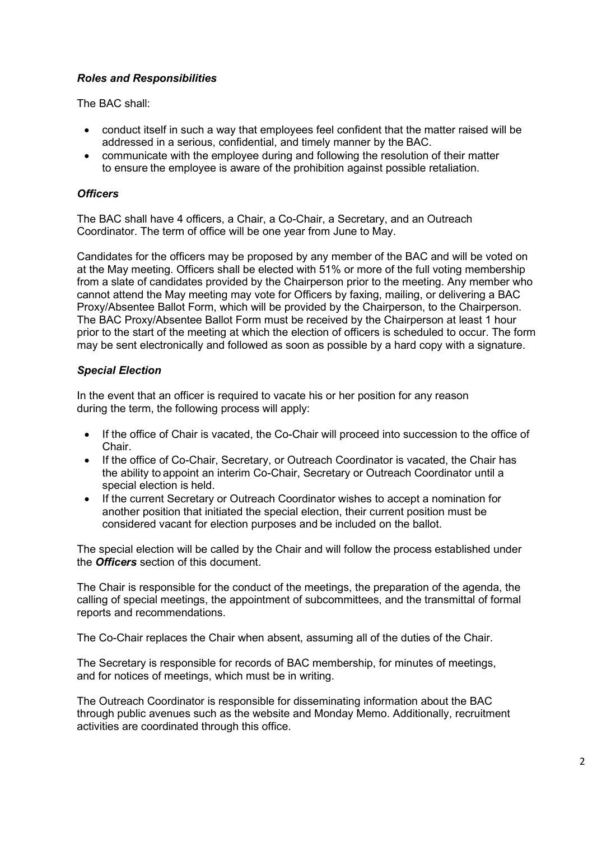# *Roles and Responsibilities*

The BAC shall:

- conduct itself in such a way that employees feel confident that the matter raised will be addressed in a serious, confidential, and timely manner by the BAC.
- communicate with the employee during and following the resolution of their matter to ensure the employee is aware of the prohibition against possible retaliation.

## *Officers*

The BAC shall have 4 officers, a Chair, a Co-Chair, a Secretary, and an Outreach Coordinator. The term of office will be one year from June to May.

Candidates for the officers may be proposed by any member of the BAC and will be voted on at the May meeting. Officers shall be elected with 51% or more of the full voting membership from a slate of candidates provided by the Chairperson prior to the meeting. Any member who cannot attend the May meeting may vote for Officers by faxing, mailing, or delivering a BAC Proxy/Absentee Ballot Form, which will be provided by the Chairperson, to the Chairperson. The BAC Proxy/Absentee Ballot Form must be received by the Chairperson at least 1 hour prior to the start of the meeting at which the election of officers is scheduled to occur. The form may be sent electronically and followed as soon as possible by a hard copy with a signature.

# *Special Election*

In the event that an officer is required to vacate his or her position for any reason during the term, the following process will apply:

- If the office of Chair is vacated, the Co-Chair will proceed into succession to the office of Chair.
- If the office of Co-Chair, Secretary, or Outreach Coordinator is vacated, the Chair has the ability to appoint an interim Co-Chair, Secretary or Outreach Coordinator until a special election is held.
- If the current Secretary or Outreach Coordinator wishes to accept a nomination for another position that initiated the special election, their current position must be considered vacant for election purposes and be included on the ballot.

The special election will be called by the Chair and will follow the process established under the *Officers* section of this document.

The Chair is responsible for the conduct of the meetings, the preparation of the agenda, the calling of special meetings, the appointment of subcommittees, and the transmittal of formal reports and recommendations.

The Co-Chair replaces the Chair when absent, assuming all of the duties of the Chair.

The Secretary is responsible for records of BAC membership, for minutes of meetings, and for notices of meetings, which must be in writing.

The Outreach Coordinator is responsible for disseminating information about the BAC through public avenues such as the website and Monday Memo. Additionally, recruitment activities are coordinated through this office.